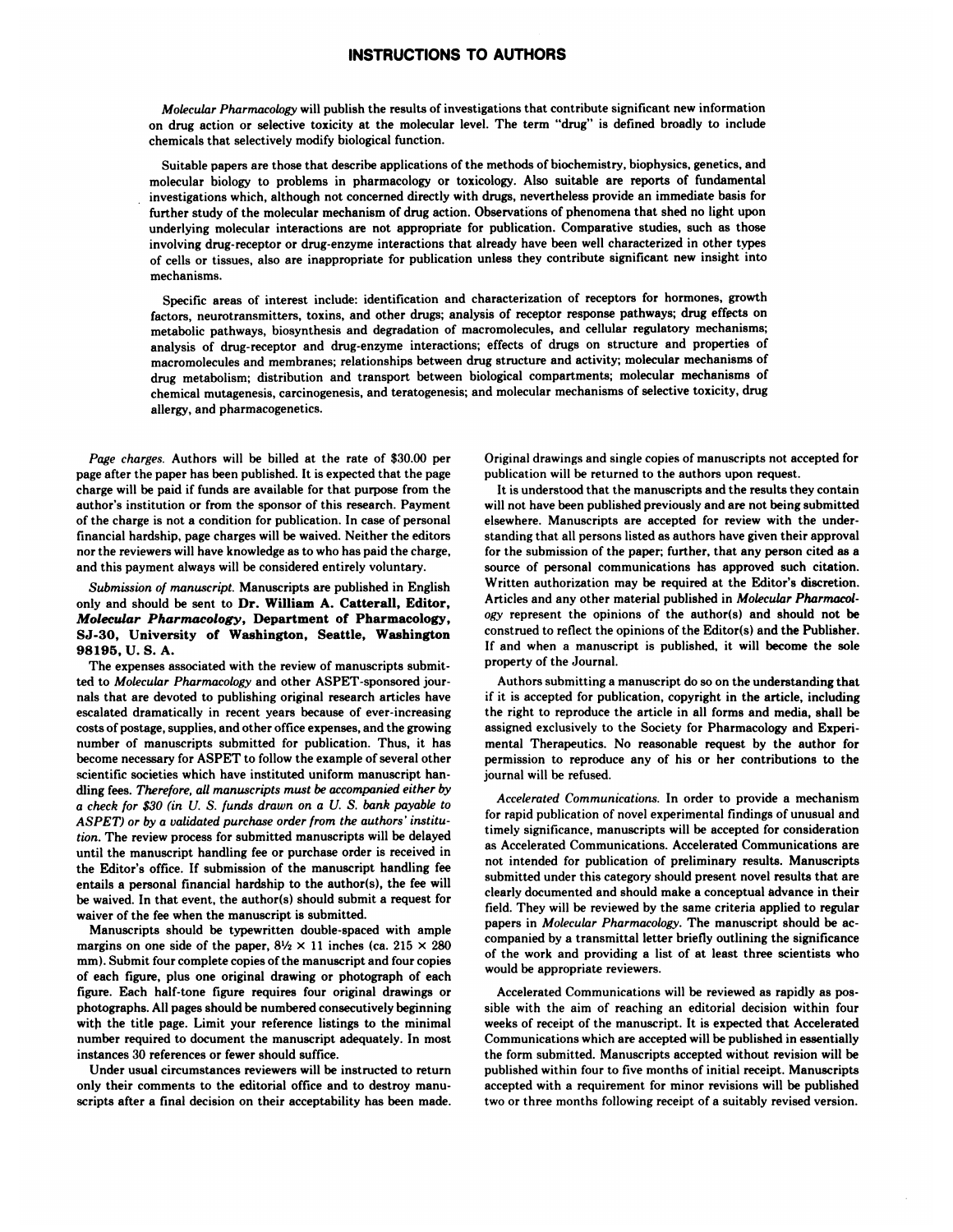## **INSTRUCTIONS TO AUTHORS**

*Molecular Pharmacology* will publish the results of investigations that contribute significant new information on drug action or selective toxicity at the molecular level. The term 'drug" is defined broadly to include chemicals that selectively modify biological function.

Suitable papers are those that describe applications of the methods of biochemistry. biophysics, genetics, and molecular biology to problems in pharmacology or toxicology. Also suitable are reports of fundamental investigations which, although not concerned directly with drugs, nevertheless provide an immediate basis for further study of the molecular mechanism of drug action. Observations of phenomena that shed no light upon underlying molecular interactions are not appropriate for publication. Comparative studies, such as those involving drug-receptor or drug-enzyme interactions that already have been well characterized in other types of cells or tissues, also are inappropriate for publication unless they contribute significant new insight into mechanisms.

Specific areas of interest include: identification and characterization of receptors for hormones, growth factors, neurotransmitters, toxins, and other drugs; analysis of receptor response pathways; drug effects on metabolic pathways, biosynthesis and degradation of macromolecules, and cellular regulatory mechanisms; analysis of drug-receptor and drug-enzyme interactions; effects of drugs on structure and properties of macromolecules and membranes; relationships between drug structure and activity; molecular mechanisms of drug metabolism; distribution and transport between biological compartments; molecular mechanisms of chemical mutagenesis, carcinogenesis, and teratogenesis; and molecular mechanisms of selective toxicity, drug allergy, and pharmacogenetics.

*Page charges.* Authors will be billed at the rate of \$30.00 per page after the paper has been published. It is expected that the page charge will be paid if funds are available for that purpose from the author's institution or from the sponsor of this research. Payment of the charge is not a condition for publication. In case of personal financial hardship, page charges will be waived. Neither the editors nor the reviewers will have knowledge as to who has paid the charge, and this payment always will be considered entirely voluntary.

*Submission of manuscript.* Manuscripts are published in English only and should be sent to **Dr. William A. Catterall, Editor,** *Molecular Pharmacology,* **Department of Pharmacology,** SJ-30, University of Washington, Seattle, Washington 98195, U. S. A.

The expenses associated with the review of manuscripts submitted to *Molecular Pharmacology* and other ASPET-sponsored jour nals that are devoted to publishing original research articles have escalated dramatically in recent years because of ever-increasing costs of postage, supplies, and other office expenses, and the growing number of manuscripts submitted for publication. Thus, it has become necessary for ASPET to follow the example of several other scientific societies which have instituted uniform manuscript han dling fees. *Therefore, all manuscripts must be accompanied either by a check for \$30 (in U. S. funds drawn on a U. S. bank payable to* ASPET) *or by a validated purchase order from the authors' institution.* The review process for submitted manuscripts will be delayed until the manuscript handling fee or purchase order is received in the Editor's office. If submission of the manuscript handling fee entails a personal financial hardship to the author(s), the fee will be waived. In that event, the author(s) should submit a request for waiver of the fee when the manuscript is submitted.

Manuscripts should he typewritten double-spaced with ample margins on one side of the paper,  $8\frac{1}{2} \times 11$  inches (ca. 215  $\times$  280) mm). Submit four complete copies of the manuscript and four copies of each figure, plus one original drawing or photograph of each figure. Each half-tone figure requires four original drawings or photographs. All pages should be numbered consecutively beginning with the title page. Limit your reference listings to the minimal number required to document the manuscript adequately. In most instances 30 references or fewer should suffice.

Under usual circumstances reviewers will be instructed to return only their comments to the editorial office and to destroy manu scripts after a final decision on their acceptability has been made.

Original drawings and single copies of manuscripts not accepted for publication will he returned to the authors upon request.

It is understood that the manuscripts and the results they contain will not have been published previously and are not being submitted elsewhere. Manuscripts are accepted for review with the under standing that all persons listed as authors have given their approval for the submission of the paper; further, that any person cited as a source of personal communications has approved such citation. Written authorization may be required at the Editor's discretion. Articles and any other material published in *Molecular Pharmacolog'* represent the opinions of the author(s) and should not be construed to reflect the opinions of the Editor(s) and the Publisher. If and when a manuscript is published, it will become the sole property of the Journal.

Authors submitting a manuscript do so on the understanding that if it is accepted for publication, copyright in the article, including the right to reproduce the article in all forms and media, shall he assigned exclusively to the Society for Pharmacology and Experi mental Therapeutics. No reasonable request by the author for permission to reproduce any of his or her contributions to the journal will be refused.

*Accelerated ( om* **fli** *uritcotions.* In order to pro'ide a mechanism for rapid publication of novel experimental findings of unusual and timely significance, manuscripts will he accepted for consideration as Accelerated Communications. Accelerated Communications are not intended for publication of preliminary results. Manuscripts submitted under this category should present novel results that are clearly documented and should make a conceptual advance in their field. They will be reviewed by the same criteria applied to regular papers in *Molecular Pharmacology.* The manuscript should he ac companied by a transmittal letter briefly outlining the significance of the work and providing a list of at least three scientists who would be appropriate reviewers.

Accelerated Communications will he reviewed as rapidly as pos sible with the aim of reaching an editorial decision within four weeks of receipt of the manuscript. It is expected that Accelerated Communications which are accepted will he published in essentially the form submitted. Manuscripts accepted without revision will be published within four to five months of initial receipt. Manuscripts accepted with a requirement for minor revisions will he published two or three months following receipt of a suitably revised version.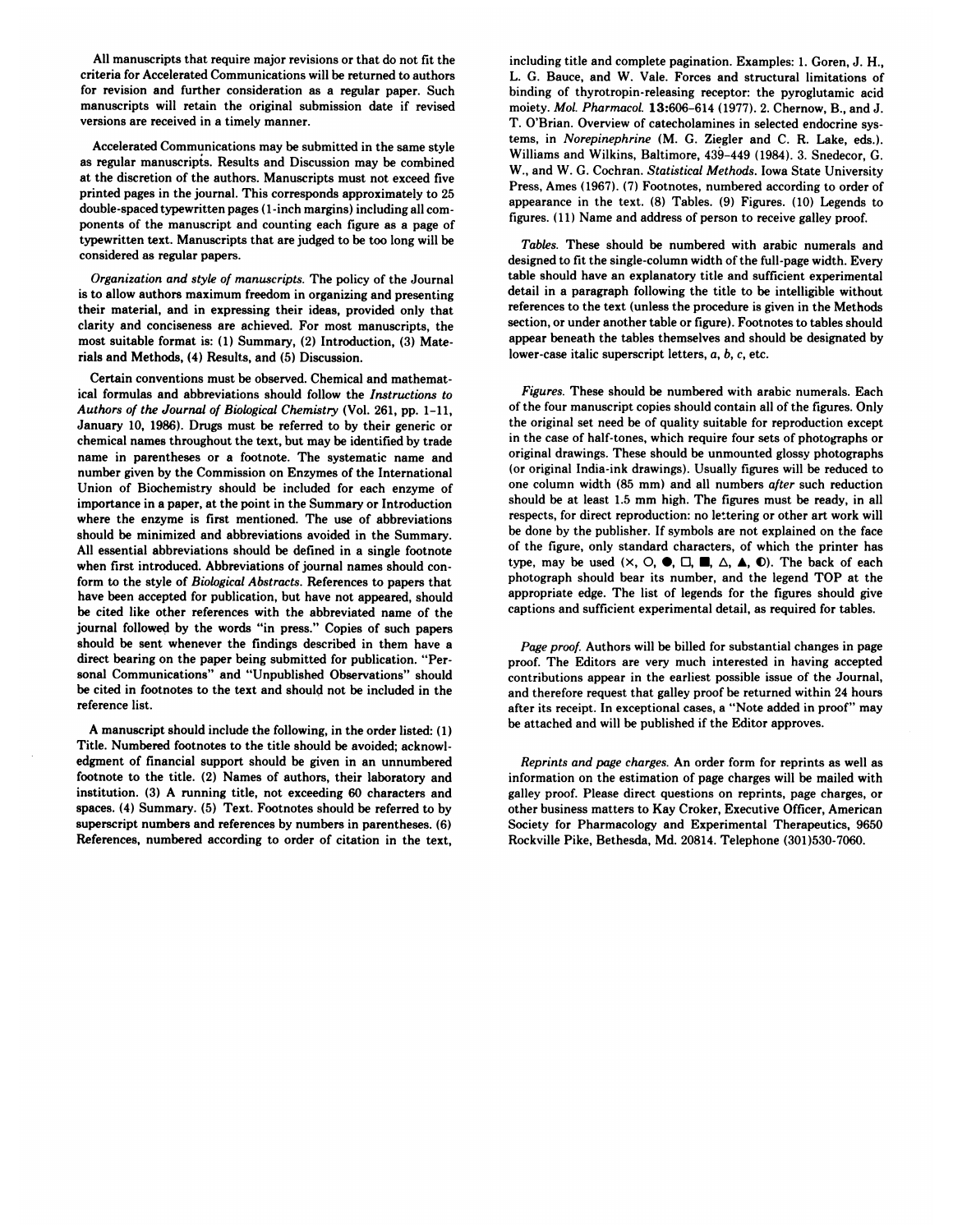All manuscripts that require major revisions or that do not fit the criteria for Accelerated Communications will be returned to authors for revision and further consideration as a regular paper. Such manuscripts will retain the original submission date if revised versions are received in a timely manner.

Accelerated Communications may be submitted in the same style as regular manuscripts. Results and Discussion may be combined at the discretion of the authors. Manuscripts must not exceed five printed pages in the journal. This corresponds approximately to 25 double-spaced typewritten pages ( 1 -inch margins) including all corn ponents of the manuscript and counting each figure as a page of typewritten text. Manuscripts that are judged to be too long will he considered as regular papers.

*()rgantzation and style of manuscripts.* The policy of the Journal is to allow authors maximum freedom in organizing and presenting their material, and in expressing their ideas, provided only that clarity and conciseness are achieved. For most manuscripts, the most suitable format is: (1) Summary, (2) Introduction, (3) Materials and Methods, (4) Results, and (5) Discussion.

Certain conventions must be observed. Chemical and mathematical formulas and abbreviations should follow the *Instructions to Authors of the Journal of Biological Chemistry* (Vol. 261, pp. 1-11, January 10, 1986). Drugs must be referred to by their generic or chemical names throughout the text, but may be identified by trade name in parentheses or a footnote. The systematic name and number given by the Commission on Enzymes of the International Union of Biochemistry should be included for each enzyme of importance in a paper, at the point in the Summary or Introduction where the enzyme is first mentioned. The use of abbreviations should be minimized and abbreviations avoided in the Summary. All essential abbreviations should be defined in a single footnote when first introduced. Abbreviations of journal names should conform to the style of *Biological Abstracts.* References to papers that have been accepted for publication, but have not appeared, should be cited like other references with the abbreviated name of the journal followed by the words "in press." Copies of such papers should be sent whenever the findings described in them have a direct bearing on the paper being submitted for publication. "Per sonal Communications" and "Unpublished Observations" should be cited in footnotes to the text and should not be included in the reference list.

A manuscript should include the following, in the order listed:  $(1)$ Title. Numbered footnotes to the title should be avoided; acknowl edgment of financial support should be given in an unnumbered footnote to the title. (2) Names of authors, their laboratory and institution. (3) A running title, not exceeding 60 characters and spaces. (4) Summary. (5) Text. Footnotes should be referred to by superscript numbers and references by numbers in parentheses. (6) References, numbered according to order of citation in the text, including title and complete pagination. Examples: 1. Goren, J. H., L. G. Bauce, and W. Vale. Forces and structural limitations of binding of thyrotropin-releasing receptor: the pyroglutamic acid moiety. *MoL Pharmacol.* **13:606-614** (1977). 2. Chernow, B., and J. T. O'Brian. Overview of catecholamines in selected endocrine systems, in *Norepinephrtne* (M. G. Ziegler and C. R. Lake, eds.). Williams and Wilkins, Baltimore, 439-449 (1984). 3. Snedecor, G. W., and W. G. Cochran. *Statistical Methods.* Iowa State University Press, Ames (1967). (7) Footnotes, numbered according to order of appearance in the text. (8) Tables. (9) Figures. (10) Legends to figures. (11) Name and address of person to receive galley proof.

*Tables.* These should be numbered with arabic numerals and designed to fit the single-column width of the full-page width. Every table should have an explanatory title and sufficient experimental detail in a paragraph following the title to be intelligible without references to the text (unless the procedure is given in the Methods section, or under another table or figure). Footnotes to tables should appear beneath the tables themselves and should be designated by lower-case italic superscript letters, *a, b, c,* etc.

*Figures.* These should be numbered with arabic numerals. Each of the four manuscript copies should contain all of the figures. Only the original set need be of quality suitable for reproduction except in the case of half-tones, which require four sets of photographs or original drawings. These should be unmounted glossy photographs (or original India-ink drawings). Usually figures will be reduced to one column width (85 mm) and all numbers *after* such reduction should he at least 1.5 mm high. The figures must be ready, in all respects, for direct reproduction: no lettering or other art work will be done by the publisher. If symbols are not explained on the face of the figure, only standard characters, of which the printer has type, may be used  $(X, \bigcirc, \bigcirc, \bigcirc, \square, \square, \square, \triangle, \triangle, \bigcirc)$ . The back of each photograph should bear its number, and the legend TOP at the appropriate edge. The list of legends for the figures should give captions and sufficient experimental detail, as required for tables.

*Page proof.* Authors will he billed for substantial changes in page proof. The Editors are very much interested in having accepted contributions appear in the earliest possible issue of the Journal, and therefore request that galley proof be returned within 24 hours after its receipt. In exceptional cases, a "Note added in proof" may be attached and will be published if the Editor approves.

*Reprints and page charges.* An order form for reprints as well as information on the estimation of page charges will be mailed with galley proof. Please direct questions on reprints, page charges, or other business matters to Kay Croker, Executive Officer, American Society for Pharmacology and Experimental Therapeutics, 9650 Rockville Pike, Bethesda, Md. 20814. Telephone (301)530-7060.